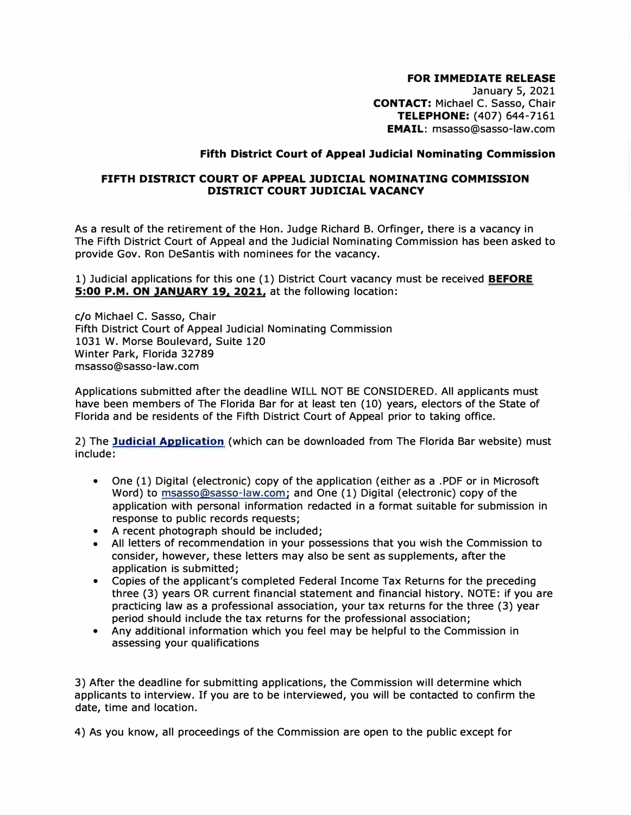## **FOR IMMEDIATE RELEASE**

January 5, 2021 **CONTACT:** Michael C. Sasso, Chair **TELEPHONE:** (407) 644-7161 **EMAIL:** msasso@sasso-law.com

## **Fifth District Court of Appeal Judicial Nominating Commission**

## **FIFTH DISTRICT COURT OF APPEAL JUDICIAL NOMINATING COMMISSION DISTRICT COURT JUDICIAL VACANCY**

As a result of the retirement of the Hon. Judge Richard B. Orfinger, there is a vacancy in The Fifth District Court of Appeal and the Judicial Nominating Commission has been asked to provide Gov. Ron DeSantis with nominees for the vacancy.

1) Judicial applications for this one (1) District Court vacancy must be received **BEFORE 5:00 P.M. ON JANUARY 19. 2021,** at the following location:

c/o Michael C. Sasso, Chair Fifth District Court of Appeal Judicial Nominating Commission 1031 W. Morse Boulevard, Suite 120 Winter Park, Florida 32789 msasso@sasso-law.com

Applications submitted after the deadline WILL NOT BE CONSIDERED. All applicants must have been members of The Florida Bar for at least ten (10) years, electors of the State of Florida and be residents of the Fifth District Court of Appeal prior to taking office.

2) The **Judicial Application** (which can be downloaded from The Florida Bar website) must include:

- One (1) Digital (electronic) copy of the application (either as a .PDF or in Microsoft Word) to msasso@sasso-law.com; and One (1) Digital (electronic) copy of the application with personal information redacted in a format suitable for submission in response to public records requests;
- A recent photograph should be included;
- All letters of recommendation in your possessions that you wish the Commission to consider, however, these letters may also be sent as supplements, after the application is submitted;
- Copies of the applicant's completed Federal Income Tax Returns for the preceding three (3) years OR current financial statement and financial history. NOTE: if you are practicing law as a professional association, your tax returns for the three (3) year period should include the tax returns for the professional association;
- Any additional information which you feel may be helpful to the Commission in assessing your qualifications

3) After the deadline for submitting applications, the Commission will determine which applicants to interview. If you are to be interviewed, you will be contacted to confirm the date, time and location.

4) As you know, all proceedings of the Commission are open to the public except for